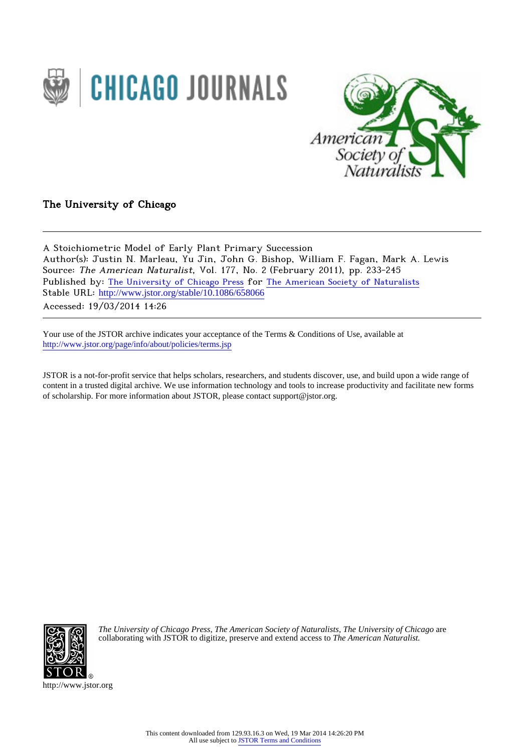



The University of Chicago

A Stoichiometric Model of Early Plant Primary Succession Author(s): Justin N. Marleau, Yu Jin, John G. Bishop, William F. Fagan, Mark A. Lewis Source: The American Naturalist, Vol. 177, No. 2 (February 2011), pp. 233-245 Published by: [The University of Chicago Press](http://www.jstor.org/action/showPublisher?publisherCode=ucpress) for [The American Society of Naturalists](http://www.jstor.org/action/showPublisher?publisherCode=amsocnat) Stable URL: http://www.jstor.org/stable/10.1086/658066

Accessed: 19/03/2014 14:26

Your use of the JSTOR archive indicates your acceptance of the Terms & Conditions of Use, available at <http://www.jstor.org/page/info/about/policies/terms.jsp>

JSTOR is a not-for-profit service that helps scholars, researchers, and students discover, use, and build upon a wide range of content in a trusted digital archive. We use information technology and tools to increase productivity and facilitate new forms of scholarship. For more information about JSTOR, please contact support@jstor.org.



*The University of Chicago Press*, *The American Society of Naturalists*, *The University of Chicago* are collaborating with JSTOR to digitize, preserve and extend access to *The American Naturalist.*

http://www.jstor.org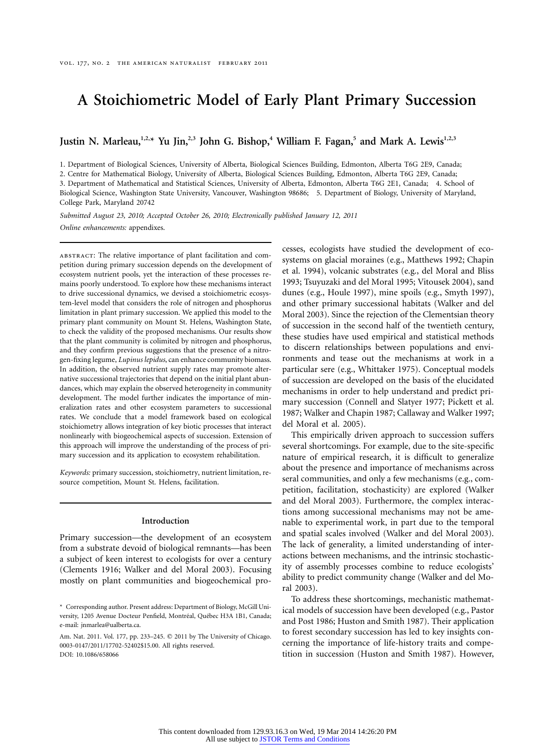# **A Stoichiometric Model of Early Plant Primary Succession**

Justin N. Marleau,<sup>1,2,\*</sup> Yu Jin,<sup>2,3</sup> John G. Bishop,<sup>4</sup> William F. Fagan,<sup>5</sup> and Mark A. Lewis<sup>1,2,3</sup>

1. Department of Biological Sciences, University of Alberta, Biological Sciences Building, Edmonton, Alberta T6G 2E9, Canada;

2. Centre for Mathematical Biology, University of Alberta, Biological Sciences Building, Edmonton, Alberta T6G 2E9, Canada;

3. Department of Mathematical and Statistical Sciences, University of Alberta, Edmonton, Alberta T6G 2E1, Canada; 4. School of

Biological Science, Washington State University, Vancouver, Washington 98686; 5. Department of Biology, University of Maryland, College Park, Maryland 20742

*Submitted August 23, 2010; Accepted October 26, 2010; Electronically published January 12, 2011 Online enhancements:* appendixes.

abstract: The relative importance of plant facilitation and competition during primary succession depends on the development of ecosystem nutrient pools, yet the interaction of these processes remains poorly understood. To explore how these mechanisms interact to drive successional dynamics, we devised a stoichiometric ecosystem-level model that considers the role of nitrogen and phosphorus limitation in plant primary succession. We applied this model to the primary plant community on Mount St. Helens, Washington State, to check the validity of the proposed mechanisms. Our results show that the plant community is colimited by nitrogen and phosphorus, and they confirm previous suggestions that the presence of a nitrogen-fixing legume, *Lupinus lepidus*, can enhance community biomass. In addition, the observed nutrient supply rates may promote alternative successional trajectories that depend on the initial plant abundances, which may explain the observed heterogeneity in community development. The model further indicates the importance of mineralization rates and other ecosystem parameters to successional rates. We conclude that a model framework based on ecological stoichiometry allows integration of key biotic processes that interact nonlinearly with biogeochemical aspects of succession. Extension of this approach will improve the understanding of the process of primary succession and its application to ecosystem rehabilitation.

*Keywords:* primary succession, stoichiometry, nutrient limitation, resource competition, Mount St. Helens, facilitation.

#### **Introduction**

Primary succession—the development of an ecosystem from a substrate devoid of biological remnants—has been a subject of keen interest to ecologists for over a century (Clements 1916; Walker and del Moral 2003). Focusing mostly on plant communities and biogeochemical processes, ecologists have studied the development of ecosystems on glacial moraines (e.g., Matthews 1992; Chapin et al. 1994), volcanic substrates (e.g., del Moral and Bliss 1993; Tsuyuzaki and del Moral 1995; Vitousek 2004), sand dunes (e.g., Houle 1997), mine spoils (e.g., Smyth 1997), and other primary successional habitats (Walker and del Moral 2003). Since the rejection of the Clementsian theory of succession in the second half of the twentieth century, these studies have used empirical and statistical methods to discern relationships between populations and environments and tease out the mechanisms at work in a particular sere (e.g., Whittaker 1975). Conceptual models of succession are developed on the basis of the elucidated mechanisms in order to help understand and predict primary succession (Connell and Slatyer 1977; Pickett et al. 1987; Walker and Chapin 1987; Callaway and Walker 1997; del Moral et al. 2005).

This empirically driven approach to succession suffers several shortcomings. For example, due to the site-specific nature of empirical research, it is difficult to generalize about the presence and importance of mechanisms across seral communities, and only a few mechanisms (e.g., competition, facilitation, stochasticity) are explored (Walker and del Moral 2003). Furthermore, the complex interactions among successional mechanisms may not be amenable to experimental work, in part due to the temporal and spatial scales involved (Walker and del Moral 2003). The lack of generality, a limited understanding of interactions between mechanisms, and the intrinsic stochasticity of assembly processes combine to reduce ecologists' ability to predict community change (Walker and del Moral 2003).

To address these shortcomings, mechanistic mathematical models of succession have been developed (e.g., Pastor and Post 1986; Huston and Smith 1987). Their application to forest secondary succession has led to key insights concerning the importance of life-history traits and competition in succession (Huston and Smith 1987). However,

<sup>\*</sup> Corresponding author. Present address: Department of Biology, McGill University, 1205 Avenue Docteur Penfield, Montréal, Québec H3A 1B1, Canada; e-mail: jnmarlea@ualberta.ca.

Am. Nat. 2011. Vol. 177, pp. 233-245. © 2011 by The University of Chicago. 0003-0147/2011/17702-52402\$15.00. All rights reserved. DOI: 10.1086/658066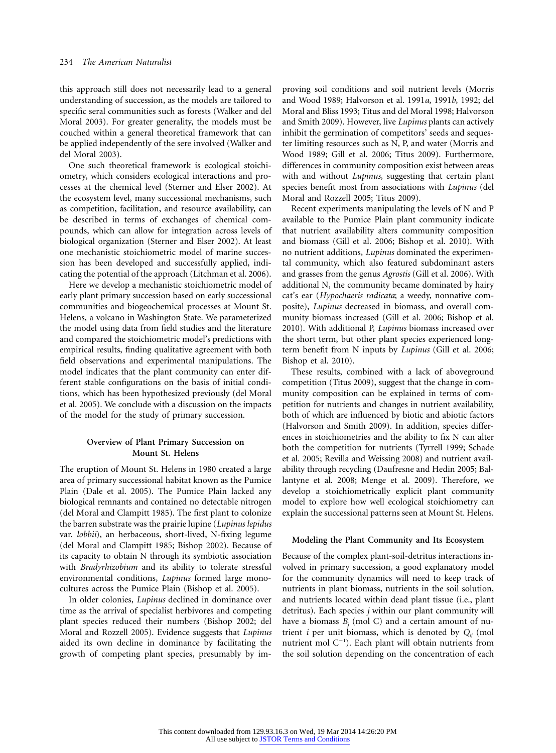this approach still does not necessarily lead to a general understanding of succession, as the models are tailored to specific seral communities such as forests (Walker and del Moral 2003). For greater generality, the models must be couched within a general theoretical framework that can be applied independently of the sere involved (Walker and del Moral 2003).

One such theoretical framework is ecological stoichiometry, which considers ecological interactions and processes at the chemical level (Sterner and Elser 2002). At the ecosystem level, many successional mechanisms, such as competition, facilitation, and resource availability, can be described in terms of exchanges of chemical compounds, which can allow for integration across levels of biological organization (Sterner and Elser 2002). At least one mechanistic stoichiometric model of marine succession has been developed and successfully applied, indicating the potential of the approach (Litchman et al. 2006).

Here we develop a mechanistic stoichiometric model of early plant primary succession based on early successional communities and biogeochemical processes at Mount St. Helens, a volcano in Washington State. We parameterized the model using data from field studies and the literature and compared the stoichiometric model's predictions with empirical results, finding qualitative agreement with both field observations and experimental manipulations. The model indicates that the plant community can enter different stable configurations on the basis of initial conditions, which has been hypothesized previously (del Moral et al. 2005). We conclude with a discussion on the impacts of the model for the study of primary succession.

# **Overview of Plant Primary Succession on Mount St. Helens**

The eruption of Mount St. Helens in 1980 created a large area of primary successional habitat known as the Pumice Plain (Dale et al. 2005). The Pumice Plain lacked any biological remnants and contained no detectable nitrogen (del Moral and Clampitt 1985). The first plant to colonize the barren substrate was the prairie lupine (*Lupinus lepidus* var. *lobbii*), an herbaceous, short-lived, N-fixing legume (del Moral and Clampitt 1985; Bishop 2002). Because of its capacity to obtain N through its symbiotic association with *Bradyrhizobium* and its ability to tolerate stressful environmental conditions, *Lupinus* formed large monocultures across the Pumice Plain (Bishop et al. 2005).

In older colonies, *Lupinus* declined in dominance over time as the arrival of specialist herbivores and competing plant species reduced their numbers (Bishop 2002; del Moral and Rozzell 2005). Evidence suggests that *Lupinus* aided its own decline in dominance by facilitating the growth of competing plant species, presumably by improving soil conditions and soil nutrient levels (Morris and Wood 1989; Halvorson et al. 1991*a*, 1991*b*, 1992; del Moral and Bliss 1993; Titus and del Moral 1998; Halvorson and Smith 2009). However, live *Lupinus* plants can actively inhibit the germination of competitors' seeds and sequester limiting resources such as N, P, and water (Morris and Wood 1989; Gill et al. 2006; Titus 2009). Furthermore, differences in community composition exist between areas with and without *Lupinus*, suggesting that certain plant species benefit most from associations with *Lupinus* (del Moral and Rozzell 2005; Titus 2009).

Recent experiments manipulating the levels of N and P available to the Pumice Plain plant community indicate that nutrient availability alters community composition and biomass (Gill et al. 2006; Bishop et al. 2010). With no nutrient additions, *Lupinus* dominated the experimental community, which also featured subdominant asters and grasses from the genus *Agrostis* (Gill et al. 2006). With additional N, the community became dominated by hairy cat's ear (*Hypochaeris radicata*; a weedy, nonnative composite), *Lupinus* decreased in biomass, and overall community biomass increased (Gill et al. 2006; Bishop et al. 2010). With additional P, *Lupinus* biomass increased over the short term, but other plant species experienced longterm benefit from N inputs by *Lupinus* (Gill et al. 2006; Bishop et al. 2010).

These results, combined with a lack of aboveground competition (Titus 2009), suggest that the change in community composition can be explained in terms of competition for nutrients and changes in nutrient availability, both of which are influenced by biotic and abiotic factors (Halvorson and Smith 2009). In addition, species differences in stoichiometries and the ability to fix N can alter both the competition for nutrients (Tyrrell 1999; Schade et al. 2005; Revilla and Weissing 2008) and nutrient availability through recycling (Daufresne and Hedin 2005; Ballantyne et al. 2008; Menge et al. 2009). Therefore, we develop a stoichiometrically explicit plant community model to explore how well ecological stoichiometry can explain the successional patterns seen at Mount St. Helens.

#### **Modeling the Plant Community and Its Ecosystem**

Because of the complex plant-soil-detritus interactions involved in primary succession, a good explanatory model for the community dynamics will need to keep track of nutrients in plant biomass, nutrients in the soil solution, and nutrients located within dead plant tissue (i.e., plant detritus). Each species *j* within our plant community will have a biomass  $B_i$  (mol C) and a certain amount of nutrient *i* per unit biomass, which is denoted by  $Q_{ii}$  (mol nutrient mol  $C^{-1}$ ). Each plant will obtain nutrients from the soil solution depending on the concentration of each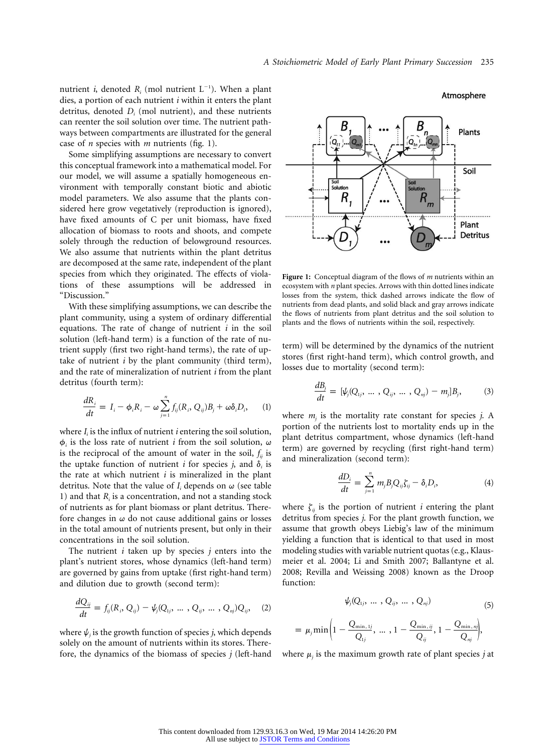nutrient *i*, denoted  $R_i$  (mol nutrient  $L^{-1}$ ). When a plant dies, a portion of each nutrient *i* within it enters the plant detritus, denoted *Di* (mol nutrient), and these nutrients can reenter the soil solution over time. The nutrient pathways between compartments are illustrated for the general case of *n* species with *m* nutrients (fig. 1).

Some simplifying assumptions are necessary to convert this conceptual framework into a mathematical model. For our model, we will assume a spatially homogeneous environment with temporally constant biotic and abiotic model parameters. We also assume that the plants considered here grow vegetatively (reproduction is ignored), have fixed amounts of C per unit biomass, have fixed allocation of biomass to roots and shoots, and compete solely through the reduction of belowground resources. We also assume that nutrients within the plant detritus are decomposed at the same rate, independent of the plant species from which they originated. The effects of violations of these assumptions will be addressed in "Discussion."

With these simplifying assumptions, we can describe the plant community, using a system of ordinary differential equations. The rate of change of nutrient *i* in the soil solution (left-hand term) is a function of the rate of nutrient supply (first two right-hand terms), the rate of uptake of nutrient *i* by the plant community (third term), and the rate of mineralization of nutrient *i* from the plant detritus (fourth term):

$$
\frac{dR_i}{dt} = I_i - \phi_i R_i - \omega \sum_{j=1}^n f_{ij}(R_i, Q_{ij})B_j + \omega \delta_i D_i, \qquad (1)
$$

where *I<sub>i</sub>* is the influx of nutrient *i* entering the soil solution,  $\phi_i$  is the loss rate of nutrient *i* from the soil solution,  $\omega$ is the reciprocal of the amount of water in the soil,  $f_{ii}$  is the uptake function of nutrient *i* for species *j*, and  $\delta$  is the rate at which nutrient *i* is mineralized in the plant detritus. Note that the value of  $I_i$  depends on  $\omega$  (see table 1) and that *Ri* is a concentration, and not a standing stock of nutrients as for plant biomass or plant detritus. Therefore changes in  $\omega$  do not cause additional gains or losses in the total amount of nutrients present, but only in their concentrations in the soil solution.

The nutrient *i* taken up by species *j* enters into the plant's nutrient stores, whose dynamics (left-hand term) are governed by gains from uptake (first right-hand term) and dilution due to growth (second term):

$$
\frac{dQ_{ij}}{dt} = f_{ij}(R_i, Q_{ij}) - \psi_j(Q_{1j}, ..., Q_{ij}, ..., Q_{nj})Q_{ij}, \quad (2)
$$

where  $\psi$ <sub>*i*</sub> is the growth function of species *j*, which depends solely on the amount of nutrients within its stores. Therefore, the dynamics of the biomass of species *j* (left-hand



**Figure 1:** Conceptual diagram of the flows of *m* nutrients within an ecosystem with *n* plant species. Arrows with thin dotted lines indicate losses from the system, thick dashed arrows indicate the flow of nutrients from dead plants, and solid black and gray arrows indicate the flows of nutrients from plant detritus and the soil solution to plants and the flows of nutrients within the soil, respectively.

term) will be determined by the dynamics of the nutrient stores (first right-hand term), which control growth, and losses due to mortality (second term):

$$
\frac{dB_i}{dt} = [\psi_j(Q_{1j}, ..., Q_{ij}, ..., Q_{nj}) - m_j]B_j, \qquad (3)
$$

where  $m_i$  is the mortality rate constant for species  $j$ . A portion of the nutrients lost to mortality ends up in the plant detritus compartment, whose dynamics (left-hand term) are governed by recycling (first right-hand term) and mineralization (second term):

$$
\frac{dD_i}{dt} = \sum_{j=1}^n m_j B_j Q_{ij} \zeta_{ij} - \delta_i D_i, \tag{4}
$$

where  $\zeta_{ij}$  is the portion of nutrient *i* entering the plant detritus from species *j*. For the plant growth function, we assume that growth obeys Liebig's law of the minimum yielding a function that is identical to that used in most modeling studies with variable nutrient quotas (e.g., Klausmeier et al. 2004; Li and Smith 2007; Ballantyne et al. 2008; Revilla and Weissing 2008) known as the Droop function:

$$
\psi_j(Q_{1j},\ldots,Q_{ij},\ldots,Q_{nj})\qquad \qquad (5)
$$

$$
= \mu_j \min \left(1 - \frac{Q_{\min, 1j}}{Q_{1j}}, \ldots, 1 - \frac{Q_{\min, jj}}{Q_{ij}}, 1 - \frac{Q_{\min, nj}}{Q_{nj}}\right),
$$

where  $\mu$ <sub>*i*</sub> is the maximum growth rate of plant species *j* at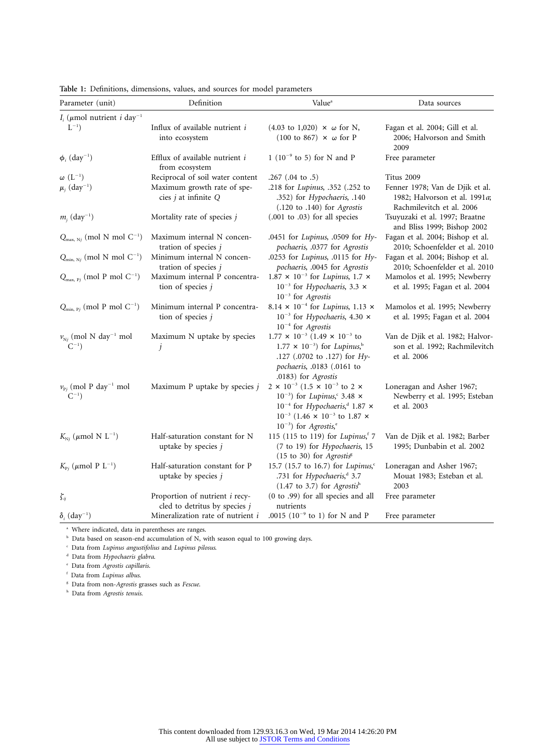| Parameter (unit)                                      | Definition                                                             | Value <sup>a</sup>                                                                                                                                                                                                                               | Data sources                                                                                  |  |  |  |
|-------------------------------------------------------|------------------------------------------------------------------------|--------------------------------------------------------------------------------------------------------------------------------------------------------------------------------------------------------------------------------------------------|-----------------------------------------------------------------------------------------------|--|--|--|
| $I_i$ ( $\mu$ mol nutrient <i>i</i> day <sup>-1</sup> |                                                                        |                                                                                                                                                                                                                                                  |                                                                                               |  |  |  |
| $L^{-1}$ )                                            | Influx of available nutrient i<br>into ecosystem                       | $(4.03 \text{ to } 1,020) \times \omega \text{ for } N$ ,<br>$(100 \text{ to } 867) \times \omega \text{ for } P$                                                                                                                                | Fagan et al. 2004; Gill et al.<br>2006; Halvorson and Smith<br>2009                           |  |  |  |
| $\phi_i$ (day <sup>-1</sup> )                         | Efflux of available nutrient i<br>from ecosystem                       | $1(10^{-9}$ to 5) for N and P                                                                                                                                                                                                                    | Free parameter                                                                                |  |  |  |
| $\omega$ $(L^{-1})$                                   | Reciprocal of soil water content                                       | .267 $(.04 \text{ to } .5)$                                                                                                                                                                                                                      | Titus 2009                                                                                    |  |  |  |
| $\mu_i$ (day <sup>-1</sup> )                          | Maximum growth rate of spe-<br>cies j at infinite Q                    | .218 for Lupinus, .352 (.252 to<br>.352) for Hypochaeris, .140<br>$(.120 \text{ to } .140)$ for Agrostis                                                                                                                                         | Fenner 1978; Van de Djik et al.<br>1982; Halvorson et al. 1991a;<br>Rachmilevitch et al. 2006 |  |  |  |
| $m_i$ (day <sup>-1</sup> )                            | Mortality rate of species j                                            | $(.001$ to $.03)$ for all species                                                                                                                                                                                                                | Tsuyuzaki et al. 1997; Braatne<br>and Bliss 1999; Bishop 2002                                 |  |  |  |
| $Q_{\text{max, Ny}}$ (mol N mol $C^{-1}$ )            | Maximum internal N concen-<br>tration of species $j$                   | .0451 for Lupinus, .0509 for Hy-<br>pochaeris, .0377 for Agrostis                                                                                                                                                                                | Fagan et al. 2004; Bishop et al.<br>2010; Schoenfelder et al. 2010                            |  |  |  |
| $Q_{\min, Nj}$ (mol N mol $C^{-1}$ )                  | Minimum internal N concen-<br>tration of species j                     | .0253 for Lupinus, .0115 for Hy-<br>pochaeris, .0045 for Agrostis                                                                                                                                                                                | Fagan et al. 2004; Bishop et al.<br>2010; Schoenfelder et al. 2010                            |  |  |  |
| $Q_{\text{max, Pj}}$ (mol P mol $C^{-1}$ )            | Maximum internal P concentra-<br>tion of species $j$                   | 1.87 $\times$ 10 <sup>-3</sup> for Lupinus, 1.7 $\times$<br>$10^{-3}$ for <i>Hypochaeris</i> , 3.3 $\times$<br>$10^{-3}$ for Agrostis                                                                                                            | Mamolos et al. 1995; Newberry<br>et al. 1995; Fagan et al. 2004                               |  |  |  |
| $Q_{\min, P_j}$ (mol P mol $C^{-1}$ )                 | Minimum internal P concentra-<br>tion of species $j$                   | 8.14 $\times$ 10 <sup>-4</sup> for Lupinus, 1.13 $\times$<br>$10^{-3}$ for Hypochaeris, 4.30 $\times$<br>$10^{-4}$ for Agrostis                                                                                                                  | Mamolos et al. 1995; Newberry<br>et al. 1995; Fagan et al. 2004                               |  |  |  |
| $v_{Nj}$ (mol N day <sup>-1</sup> mol<br>$C^{-1}$     | Maximum N uptake by species<br>j                                       | $1.77 \times 10^{-3}$ (1.49 $\times 10^{-3}$ to<br>$1.77 \times 10^{-3}$ for Lupinus, <sup>b</sup><br>.127 (.0702 to .127) for Hy-<br>pochaeris, .0183 (.0161 to<br>.0183) for Agrostis                                                          | Van de Djik et al. 1982; Halvor-<br>son et al. 1992; Rachmilevitch<br>et al. 2006             |  |  |  |
| $v_{Pj}$ (mol P day <sup>-1</sup> mol<br>$C^{-1}$ )   | Maximum P uptake by species j                                          | 2 × 10 <sup>-3</sup> (1.5 × 10 <sup>-3</sup> to 2 ×<br>$10^{-3}$ ) for Lupinus, 3.48 $\times$<br>$10^{-4}$ for Hypochaeris, <sup>d</sup> 1.87 $\times$<br>$10^{-3}$ (1.46 × 10 <sup>-3</sup> to 1.87 ×<br>$10^{-3}$ ) for Agrostis, <sup>e</sup> | Loneragan and Asher 1967;<br>Newberry et al. 1995; Esteban<br>et al. 2003                     |  |  |  |
| $K_{Nj}$ ( $\mu$ mol N L <sup>-1</sup> )              | Half-saturation constant for N<br>uptake by species $j$                | 115 (115 to 119) for Lupinus, 7<br>(7 to 19) for Hypochaeris, 15<br>(15 to 30) for Agrostis <sup>8</sup>                                                                                                                                         | Van de Djik et al. 1982; Barber<br>1995; Dunbabin et al. 2002                                 |  |  |  |
| $K_{\mathrm{P}_i}$ ( $\mu$ mol P L <sup>-1</sup> )    | Half-saturation constant for P<br>uptake by species $j$                | 15.7 (15.7 to 16.7) for Lupinus, <sup>c</sup><br>.731 for Hypochaeris, <sup>d</sup> 3.7<br>$(1.47$ to 3.7) for Agrostish                                                                                                                         | Loneragan and Asher 1967;<br>Mouat 1983; Esteban et al.<br>2003                               |  |  |  |
| $\zeta_{ij}$                                          | Proportion of nutrient <i>i</i> recy-<br>cled to detritus by species j | (0 to .99) for all species and all<br>nutrients                                                                                                                                                                                                  | Free parameter                                                                                |  |  |  |
| $\delta_i$ (day <sup>-1</sup> )                       | Mineralization rate of nutrient i                                      | .0015 (10 <sup>-9</sup> to 1) for N and P                                                                                                                                                                                                        | Free parameter                                                                                |  |  |  |

**Table 1:** Definitions, dimensions, values, and sources for model parameters

<sup>a</sup> Where indicated, data in parentheses are ranges.

<sup>b</sup> Data based on season-end accumulation of N, with season equal to 100 growing days.

<sup>c</sup> Data from *Lupinus angustifolius* and *Lupinus pilosus*.

<sup>d</sup> Data from *Hypochaeris glabra*.

<sup>e</sup> Data from *Agrostis capillaris*.

<sup>f</sup> Data from *Lupinus albus*.

<sup>g</sup> Data from non-*Agrostis* grasses such as *Fescue*.

<sup>h</sup> Data from *Agrostis tenuis*.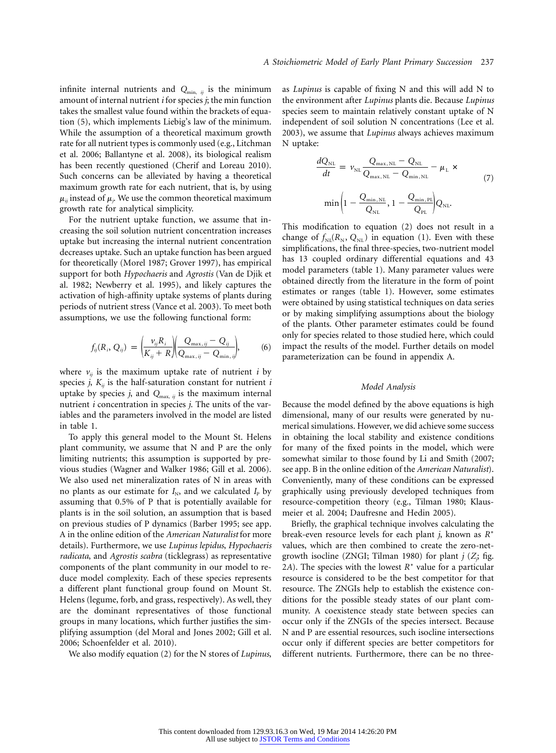infinite internal nutrients and  $Q_{\min, i,j}$  is the minimum amount of internal nutrient *i* for species *j*; the min function takes the smallest value found within the brackets of equation (5), which implements Liebig's law of the minimum. While the assumption of a theoretical maximum growth rate for all nutrient types is commonly used (e.g., Litchman et al. 2006; Ballantyne et al. 2008), its biological realism has been recently questioned (Cherif and Loreau 2010). Such concerns can be alleviated by having a theoretical maximum growth rate for each nutrient, that is, by using  $\mu_{ij}$  instead of  $\mu_j$ . We use the common theoretical maximum growth rate for analytical simplicity.

For the nutrient uptake function, we assume that increasing the soil solution nutrient concentration increases uptake but increasing the internal nutrient concentration decreases uptake. Such an uptake function has been argued for theoretically (Morel 1987; Grover 1997), has empirical support for both *Hypochaeris* and *Agrostis* (Van de Djik et al. 1982; Newberry et al. 1995), and likely captures the activation of high-affinity uptake systems of plants during periods of nutrient stress (Vance et al. 2003). To meet both assumptions, we use the following functional form:

$$
f_{ij}(R_i, Q_{ij}) = \left(\frac{v_{ij}R_i}{K_{ij} + R}\right)\left(\frac{Q_{\max,ij} - Q_{ij}}{Q_{\max,ij} - Q_{\min,ij}}\right),
$$
 (6)

where  $v_{ij}$  is the maximum uptake rate of nutrient *i* by species *j*,  $K_{ii}$  is the half-saturation constant for nutrient *i* uptake by species  $j$ , and  $Q_{\text{max}}$ ,  $i$  is the maximum internal nutrient *i* concentration in species *j*. The units of the variables and the parameters involved in the model are listed in table 1.

To apply this general model to the Mount St. Helens plant community, we assume that N and P are the only limiting nutrients; this assumption is supported by previous studies (Wagner and Walker 1986; Gill et al. 2006). We also used net mineralization rates of N in areas with no plants as our estimate for  $I_N$ , and we calculated  $I_P$  by assuming that 0.5% of P that is potentially available for plants is in the soil solution, an assumption that is based on previous studies of P dynamics (Barber 1995; see app. A in the online edition of the *American Naturalist* for more details). Furthermore, we use *Lupinus lepidus*, *Hypochaeris radicata*, and *Agrostis scabra* (ticklegrass) as representative components of the plant community in our model to reduce model complexity. Each of these species represents a different plant functional group found on Mount St. Helens (legume, forb, and grass, respectively). As well, they are the dominant representatives of those functional groups in many locations, which further justifies the simplifying assumption (del Moral and Jones 2002; Gill et al. 2006; Schoenfelder et al. 2010).

We also modify equation (2) for the N stores of *Lupinus*,

as *Lupinus* is capable of fixing N and this will add N to the environment after *Lupinus* plants die. Because *Lupinus* species seem to maintain relatively constant uptake of N independent of soil solution N concentrations (Lee et al. 2003), we assume that *Lupinus* always achieves maximum N uptake:

$$
\frac{dQ_{\text{NL}}}{dt} = v_{\text{NL}} \frac{Q_{\text{max,NL}} - Q_{\text{NL}}}{Q_{\text{max,NL}} - Q_{\text{min,NL}}} - \mu_{\text{L}} \times
$$
\n
$$
\min \left( 1 - \frac{Q_{\text{min,NL}}}{Q_{\text{NL}}}, 1 - \frac{Q_{\text{min,NL}}}{Q_{\text{PL}}} \right) Q_{\text{NL}}.
$$
\n(7)

This modification to equation (2) does not result in a change of  $f_{\text{NL}}(R_{\text{N}}, Q_{\text{NL}})$  in equation (1). Even with these simplifications, the final three-species, two-nutrient model has 13 coupled ordinary differential equations and 43 model parameters (table 1). Many parameter values were obtained directly from the literature in the form of point estimates or ranges (table 1). However, some estimates were obtained by using statistical techniques on data series or by making simplifying assumptions about the biology of the plants. Other parameter estimates could be found only for species related to those studied here, which could impact the results of the model. Further details on model parameterization can be found in appendix A.

#### *Model Analysis*

Because the model defined by the above equations is high dimensional, many of our results were generated by numerical simulations. However, we did achieve some success in obtaining the local stability and existence conditions for many of the fixed points in the model, which were somewhat similar to those found by Li and Smith (2007; see app. B in the online edition of the *American Naturalist*). Conveniently, many of these conditions can be expressed graphically using previously developed techniques from resource-competition theory (e.g., Tilman 1980; Klausmeier et al. 2004; Daufresne and Hedin 2005).

Briefly, the graphical technique involves calculating the break-even resource levels for each plant *j*, known as  $R^*$ values, which are then combined to create the zero-netgrowth isocline (ZNGI; Tilman 1980) for plant *j* (*Zj* ; fig. 2*A*). The species with the lowest  $R^*$  value for a particular resource is considered to be the best competitor for that resource. The ZNGIs help to establish the existence conditions for the possible steady states of our plant community. A coexistence steady state between species can occur only if the ZNGIs of the species intersect. Because N and P are essential resources, such isocline intersections occur only if different species are better competitors for different nutrients. Furthermore, there can be no three-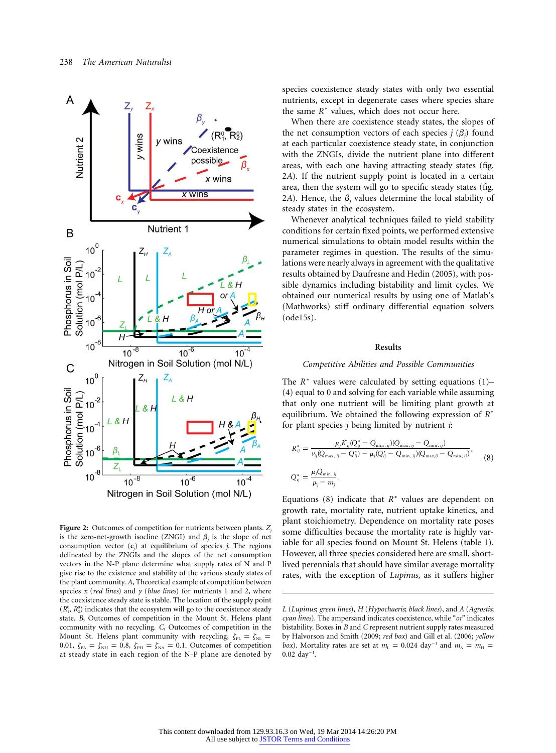

**Figure 2:** Outcomes of competition for nutrients between plants. *Zj* is the zero-net-growth isocline (ZNGI) and  $\beta$ <sub>*i*</sub> is the slope of net consumption vector (**c***<sup>j</sup>* ) at equilibrium of species *j*. The regions delineated by the ZNGIs and the slopes of the net consumption vectors in the N-P plane determine what supply rates of N and P give rise to the existence and stability of the various steady states of the plant community. *A*, Theoretical example of competition between species *x* (*red lines*) and *y* (*blue lines*) for nutrients 1 and 2, where the coexistence steady state is stable. The location of the supply point  $(R_1^0, R_2^0)$  indicates that the ecosystem will go to the coexistence steady state. *B*, Outcomes of competition in the Mount St. Helens plant community with no recycling. *C*, Outcomes of competition in the Mount St. Helens plant community with recycling,  $\zeta_{PL} = \zeta_{NL}$ 0.01,  $\zeta_{PA} = \zeta_{NH} = 0.8$ ,  $\zeta_{PH} = \zeta_{NA} = 0.1$ . Outcomes of competition at steady state in each region of the N-P plane are denoted by

species coexistence steady states with only two essential nutrients, except in degenerate cases where species share the same  $R^*$  values, which does not occur here.

When there are coexistence steady states, the slopes of the net consumption vectors of each species  $j(\beta_j)$  found at each particular coexistence steady state, in conjunction with the ZNGIs, divide the nutrient plane into different areas, with each one having attracting steady states (fig. 2*A*). If the nutrient supply point is located in a certain area, then the system will go to specific steady states (fig. 2*A*). Hence, the  $\beta$  values determine the local stability of steady states in the ecosystem.

Whenever analytical techniques failed to yield stability conditions for certain fixed points, we performed extensive numerical simulations to obtain model results within the parameter regimes in question. The results of the simulations were nearly always in agreement with the qualitative results obtained by Daufresne and Hedin (2005), with possible dynamics including bistability and limit cycles. We obtained our numerical results by using one of Matlab's (Mathworks) stiff ordinary differential equation solvers (ode15s).

### **Results**

## *Competitive Abilities and Possible Communities*

The  $R^*$  values were calculated by setting equations (1)– (4) equal to 0 and solving for each variable while assuming that only one nutrient will be limiting plant growth at equilibrium. We obtained the following expression of  $R^*$ for plant species *j* being limited by nutrient *i*:

$$
R_{ij}^{*} = \frac{\mu_{j}K_{ij}(Q_{ij}^{*} - Q_{\min,ij})(Q_{\max,ij} - Q_{\min,ij})}{\nu_{ij}(Q_{\max,ij} - Q_{ij}^{*}) - \mu_{j}(Q_{ij}^{*} - Q_{\min,ij})(Q_{\max,ij} - Q_{\min,ij})},
$$
\n
$$
Q_{ij}^{*} = \frac{\mu_{j}Q_{\min,ij}}{\mu_{j} - m_{j}}.
$$
\n(8)

Equations (8) indicate that  $R^*$  values are dependent on growth rate, mortality rate, nutrient uptake kinetics, and plant stoichiometry. Dependence on mortality rate poses some difficulties because the mortality rate is highly variable for all species found on Mount St. Helens (table 1). However, all three species considered here are small, shortlived perennials that should have similar average mortality rates, with the exception of *Lupinus*, as it suffers higher

*L* (*Lupinus*; *green lines*), *H* (*Hypochaeris*; *black lines*), and *A* (*Agrostis*; *cyan lines*). The ampersand indicates coexistence, while "*or*" indicates bistability. Boxes in *B* and *C* represent nutrient supply rates measured by Halvorson and Smith (2009; *red box*) and Gill et al. (2006; *yellow box*). Mortality rates are set at  $m<sub>L</sub> = 0.024$  day<sup>-1</sup> and  $m<sub>A</sub> = m<sub>H</sub>$  $0.02 \text{ day}^{-1}$ .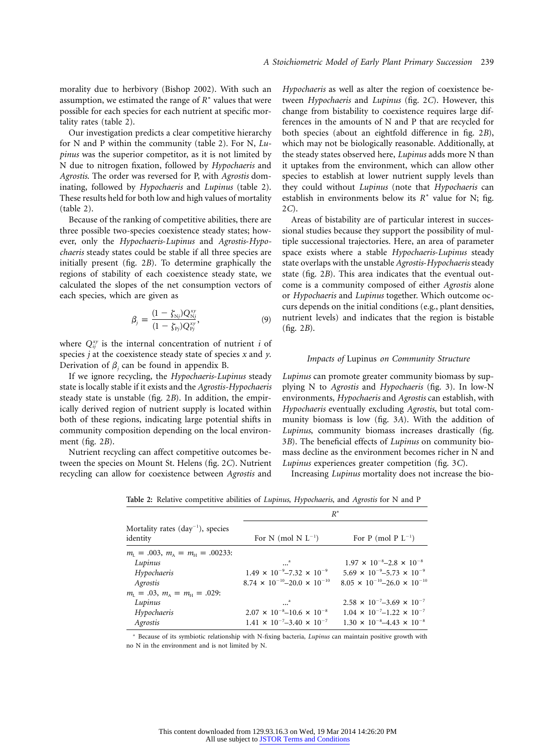morality due to herbivory (Bishop 2002). With such an assumption, we estimated the range of  $R^*$  values that were possible for each species for each nutrient at specific mortality rates (table 2).

Our investigation predicts a clear competitive hierarchy for N and P within the community (table 2). For N, *Lupinus* was the superior competitor, as it is not limited by N due to nitrogen fixation, followed by *Hypochaeris* and *Agrostis*. The order was reversed for P, with *Agrostis* dominating, followed by *Hypochaeris* and *Lupinus* (table 2). These results held for both low and high values of mortality (table 2).

Because of the ranking of competitive abilities, there are three possible two-species coexistence steady states; however, only the *Hypochaeris*-*Lupinus* and *Agrostis*-*Hypochaeris* steady states could be stable if all three species are initially present (fig. 2*B*). To determine graphically the regions of stability of each coexistence steady state, we calculated the slopes of the net consumption vectors of each species, which are given as

$$
\beta_j = \frac{(1 - \zeta_{\rm Nj}) Q_{\rm Nj}^{\rm xy}}{(1 - \zeta_{\rm Pj}) Q_{\rm Pj}^{\rm xy}},\tag{9}
$$

where  $Q_{ij}^{xy}$  is the internal concentration of nutrient *i* of species *j* at the coexistence steady state of species *x* and *y*. Derivation of  $\beta$ <sub>*i*</sub> can be found in appendix B.

If we ignore recycling, the *Hypochaeris*-*Lupinus* steady state is locally stable if it exists and the *Agrostis-Hypochaeris* steady state is unstable (fig. 2*B*). In addition, the empirically derived region of nutrient supply is located within both of these regions, indicating large potential shifts in community composition depending on the local environment (fig. 2*B*).

Nutrient recycling can affect competitive outcomes between the species on Mount St. Helens (fig. 2*C*). Nutrient recycling can allow for coexistence between *Agrostis* and

*Hypochaeris* as well as alter the region of coexistence between *Hypochaeris* and *Lupinus* (fig. 2*C*). However, this change from bistability to coexistence requires large differences in the amounts of N and P that are recycled for both species (about an eightfold difference in fig. 2*B*), which may not be biologically reasonable. Additionally, at the steady states observed here, *Lupinus* adds more N than it uptakes from the environment, which can allow other species to establish at lower nutrient supply levels than they could without *Lupinus* (note that *Hypochaeris* can establish in environments below its  $R^*$  value for N; fig. 2*C*).

Areas of bistability are of particular interest in successional studies because they support the possibility of multiple successional trajectories. Here, an area of parameter space exists where a stable *Hypochaeris*-*Lupinus* steady state overlaps with the unstable *Agrostis*-*Hypochaeris* steady state (fig. 2*B*). This area indicates that the eventual outcome is a community composed of either *Agrostis* alone or *Hypochaeris* and *Lupinus* together. Which outcome occurs depends on the initial conditions (e.g., plant densities, nutrient levels) and indicates that the region is bistable (fig. 2*B*).

## *Impacts of* Lupinus *on Community Structure*

*Lupinus* can promote greater community biomass by supplying N to *Agrostis* and *Hypochaeris* (fig. 3). In low-N environments, *Hypochaeris* and *Agrostis* can establish, with *Hypochaeris* eventually excluding *Agrostis*, but total community biomass is low (fig. 3*A*). With the addition of *Lupinus*, community biomass increases drastically (fig. 3*B*). The beneficial effects of *Lupinus* on community biomass decline as the environment becomes richer in N and *Lupinus* experiences greater competition (fig. 3*C*).

Increasing *Lupinus* mortality does not increase the bio-

|  |  |  | Table 2: Relative competitive abilities of <i>Lupinus, Hypochaeris</i> , and <i>Agrostis</i> for N and P |  |  |  |  |  |  |  |  |  |  |  |
|--|--|--|----------------------------------------------------------------------------------------------------------|--|--|--|--|--|--|--|--|--|--|--|
|--|--|--|----------------------------------------------------------------------------------------------------------|--|--|--|--|--|--|--|--|--|--|--|

|                                                           | $R^*$                                         |                                               |  |  |  |  |
|-----------------------------------------------------------|-----------------------------------------------|-----------------------------------------------|--|--|--|--|
| Mortality rates $(\text{day}^{-1})$ , species<br>identity | For N (mol N $L^{-1}$ )                       | For P (mol P $L^{-1}$ )                       |  |  |  |  |
| $m_{\rm i} = .003$ , $m_{\rm A} = m_{\rm H} = .00233$ :   |                                               |                                               |  |  |  |  |
| Lupinus                                                   |                                               | $1.97 \times 10^{-8} - 2.8 \times 10^{-8}$    |  |  |  |  |
| Hypochaeris                                               | $1.49 \times 10^{-9} - 7.32 \times 10^{-9}$   | $5.69 \times 10^{-9} - 5.73 \times 10^{-9}$   |  |  |  |  |
| Agrostis                                                  | $8.74 \times 10^{-10} - 20.0 \times 10^{-10}$ | $8.05 \times 10^{-10} - 26.0 \times 10^{-10}$ |  |  |  |  |
| $m_{\rm i} = .03$ , $m_{\rm A} = m_{\rm H} = .029$ :      |                                               |                                               |  |  |  |  |
| Lupinus                                                   |                                               | $2.58 \times 10^{-7} - 3.69 \times 10^{-7}$   |  |  |  |  |
| Hypochaeris                                               | $2.07 \times 10^{-8} - 10.6 \times 10^{-8}$   | $1.04 \times 10^{-7} - 1.22 \times 10^{-7}$   |  |  |  |  |
| Agrostis                                                  | $1.41 \times 10^{-7} - 3.40 \times 10^{-7}$   | $1.30 \times 10^{-8} - 4.43 \times 10^{-8}$   |  |  |  |  |

<sup>a</sup> Because of its symbiotic relationship with N-fixing bacteria, *Lupinus* can maintain positive growth with no N in the environment and is not limited by N.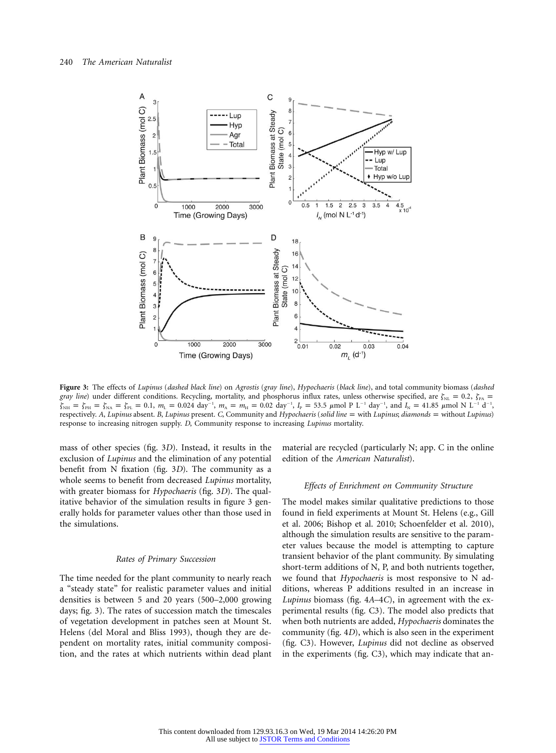

**Figure 3:** The effects of *Lupinus* (*dashed black line*) on *Agrostis* (*gray line*), *Hypochaeris* (*black line*), and total community biomass (*dashed gray line*) under different conditions. Recycling, mortality, and phosphorus influx rates, unless otherwise specified, are  $\zeta_{NL} = 0.2$ ,  $\zeta_{Pa} =$  $\zeta_{NH} = \zeta_{PH} = \zeta_{NA} = \zeta_{PL} = 0.1$ ,  $m_L = 0.024 \text{ day}^{-1}$ ,  $m_A = m_H = 0.02 \text{ day}^{-1}$ ,  $I_p = 53.5 \mu \text{mol} \text{P} \text{L}^{-1} \text{day}^{-1}$ , and  $I_N = 41.85 \mu \text{mol} \text{N} \text{L}^{-1} \text{d}^{-1}$ , respectively. *A*, *Lupinus* absent. *B*, *Lupinus* present. *C*, Community and *Hypochaeris* (*solid line* = with *Lupinus*; *diamonds* = without *Lupinus*) response to increasing nitrogen supply. *D*, Community response to increasing *Lupinus* mortality.

mass of other species (fig. 3*D*). Instead, it results in the exclusion of *Lupinus* and the elimination of any potential benefit from N fixation (fig. 3*D*). The community as a whole seems to benefit from decreased *Lupinus* mortality, with greater biomass for *Hypochaeris* (fig. 3*D*). The qualitative behavior of the simulation results in figure 3 generally holds for parameter values other than those used in the simulations.

### *Rates of Primary Succession*

The time needed for the plant community to nearly reach a "steady state" for realistic parameter values and initial densities is between 5 and 20 years (500–2,000 growing days; fig. 3). The rates of succession match the timescales of vegetation development in patches seen at Mount St. Helens (del Moral and Bliss 1993), though they are dependent on mortality rates, initial community composition, and the rates at which nutrients within dead plant

material are recycled (particularly N; app. C in the online edition of the *American Naturalist*).

#### *Effects of Enrichment on Community Structure*

The model makes similar qualitative predictions to those found in field experiments at Mount St. Helens (e.g., Gill et al. 2006; Bishop et al. 2010; Schoenfelder et al. 2010), although the simulation results are sensitive to the parameter values because the model is attempting to capture transient behavior of the plant community. By simulating short-term additions of N, P, and both nutrients together, we found that *Hypochaeris* is most responsive to N additions, whereas P additions resulted in an increase in *Lupinus* biomass (fig. 4*A*–4*C*), in agreement with the experimental results (fig. C3). The model also predicts that when both nutrients are added, *Hypochaeris* dominates the community (fig. 4*D*), which is also seen in the experiment (fig. C3). However, *Lupinus* did not decline as observed in the experiments (fig. C3), which may indicate that an-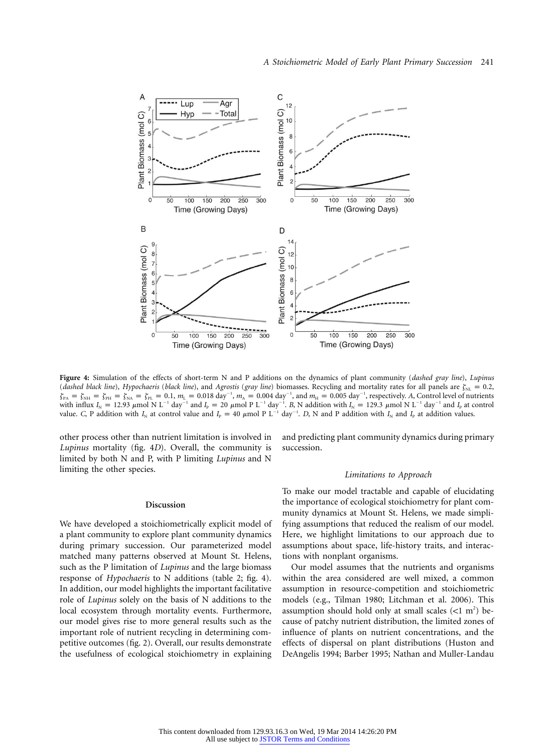

**Figure 4:** Simulation of the effects of short-term N and P additions on the dynamics of plant community (*dashed gray line*), *Lupinus* (*dashed black line*), *Hypochaeris* (*black line*), and *Agrostis* (*gray line*) biomasses. Recycling and mortality rates for all panels are  $\zeta_{\text{N}} = 0.2$ ,  $\zeta_{PA} = \zeta_{PH} = \zeta_{PH} = \zeta_{PA} = \zeta_{PL} = 0.1$ ,  $m_L = 0.018 \text{ day}^{-1}$ ,  $m_A = 0.004 \text{ day}^{-1}$ , and  $m_H = 0.005 \text{ day}^{-1}$ , respectively. *A*, Control level of nutrients with influx  $I_N = 12.93 \mu$  mol N L<sup>-1</sup> day<sup>-1</sup> and  $I_P = 20 \mu$  mol P L<sup>-1</sup> day<sup>-1</sup>. B, N addition with  $I_N = 129.3 \mu$  mol N L<sup>-1</sup> day<sup>-1</sup> and  $I_P$  at control value. *C*, P addition with  $I_N$  at control value and  $I_p = 40 \mu \text{mol} \text{P L}^{-1} \text{ day}^{-1}$ . *D*, N and P addition with  $I_N$  and  $I_p$  at addition values.

other process other than nutrient limitation is involved in *Lupinus* mortality (fig. 4*D*). Overall, the community is limited by both N and P, with P limiting *Lupinus* and N limiting the other species.

## **Discussion**

We have developed a stoichiometrically explicit model of a plant community to explore plant community dynamics during primary succession. Our parameterized model matched many patterns observed at Mount St. Helens, such as the P limitation of *Lupinus* and the large biomass response of *Hypochaeris* to N additions (table 2; fig. 4). In addition, our model highlights the important facilitative role of *Lupinus* solely on the basis of N additions to the local ecosystem through mortality events. Furthermore, our model gives rise to more general results such as the important role of nutrient recycling in determining competitive outcomes (fig. 2). Overall, our results demonstrate the usefulness of ecological stoichiometry in explaining and predicting plant community dynamics during primary succession.

#### *Limitations to Approach*

To make our model tractable and capable of elucidating the importance of ecological stoichiometry for plant community dynamics at Mount St. Helens, we made simplifying assumptions that reduced the realism of our model. Here, we highlight limitations to our approach due to assumptions about space, life-history traits, and interactions with nonplant organisms.

Our model assumes that the nutrients and organisms within the area considered are well mixed, a common assumption in resource-competition and stoichiometric models (e.g., Tilman 1980; Litchman et al. 2006). This assumption should hold only at small scales  $(<1 m<sup>2</sup>)$  because of patchy nutrient distribution, the limited zones of influence of plants on nutrient concentrations, and the effects of dispersal on plant distributions (Huston and DeAngelis 1994; Barber 1995; Nathan and Muller-Landau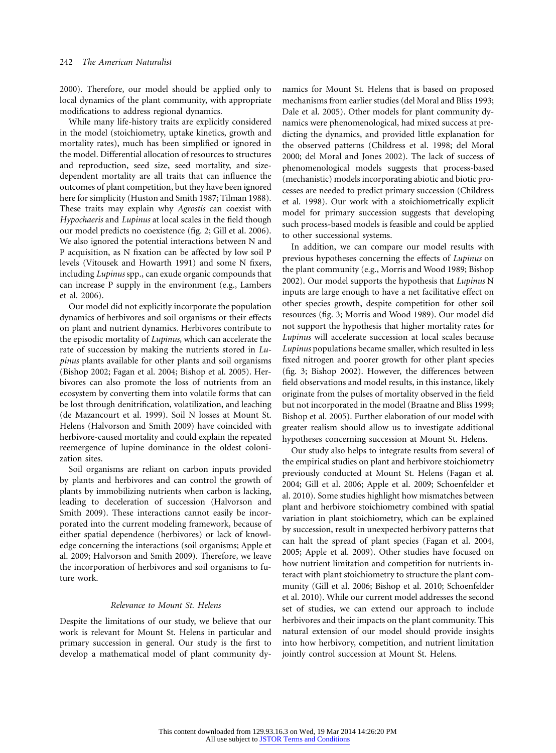2000). Therefore, our model should be applied only to local dynamics of the plant community, with appropriate modifications to address regional dynamics.

While many life-history traits are explicitly considered in the model (stoichiometry, uptake kinetics, growth and mortality rates), much has been simplified or ignored in the model. Differential allocation of resources to structures and reproduction, seed size, seed mortality, and sizedependent mortality are all traits that can influence the outcomes of plant competition, but they have been ignored here for simplicity (Huston and Smith 1987; Tilman 1988). These traits may explain why *Agrostis* can coexist with *Hypochaeris* and *Lupinus* at local scales in the field though our model predicts no coexistence (fig. 2; Gill et al. 2006). We also ignored the potential interactions between N and P acquisition, as N fixation can be affected by low soil P levels (Vitousek and Howarth 1991) and some N fixers, including *Lupinus* spp., can exude organic compounds that can increase P supply in the environment (e.g., Lambers et al. 2006).

Our model did not explicitly incorporate the population dynamics of herbivores and soil organisms or their effects on plant and nutrient dynamics. Herbivores contribute to the episodic mortality of *Lupinus*, which can accelerate the rate of succession by making the nutrients stored in *Lupinus* plants available for other plants and soil organisms (Bishop 2002; Fagan et al. 2004; Bishop et al. 2005). Herbivores can also promote the loss of nutrients from an ecosystem by converting them into volatile forms that can be lost through denitrification, volatilization, and leaching (de Mazancourt et al. 1999). Soil N losses at Mount St. Helens (Halvorson and Smith 2009) have coincided with herbivore-caused mortality and could explain the repeated reemergence of lupine dominance in the oldest colonization sites.

Soil organisms are reliant on carbon inputs provided by plants and herbivores and can control the growth of plants by immobilizing nutrients when carbon is lacking, leading to deceleration of succession (Halvorson and Smith 2009). These interactions cannot easily be incorporated into the current modeling framework, because of either spatial dependence (herbivores) or lack of knowledge concerning the interactions (soil organisms; Apple et al. 2009; Halvorson and Smith 2009). Therefore, we leave the incorporation of herbivores and soil organisms to future work.

# *Relevance to Mount St. Helens*

Despite the limitations of our study, we believe that our work is relevant for Mount St. Helens in particular and primary succession in general. Our study is the first to develop a mathematical model of plant community dynamics for Mount St. Helens that is based on proposed mechanisms from earlier studies (del Moral and Bliss 1993; Dale et al. 2005). Other models for plant community dynamics were phenomenological, had mixed success at predicting the dynamics, and provided little explanation for the observed patterns (Childress et al. 1998; del Moral 2000; del Moral and Jones 2002). The lack of success of phenomenological models suggests that process-based (mechanistic) models incorporating abiotic and biotic processes are needed to predict primary succession (Childress et al. 1998). Our work with a stoichiometrically explicit model for primary succession suggests that developing such process-based models is feasible and could be applied to other successional systems.

In addition, we can compare our model results with previous hypotheses concerning the effects of *Lupinus* on the plant community (e.g., Morris and Wood 1989; Bishop 2002). Our model supports the hypothesis that *Lupinus* N inputs are large enough to have a net facilitative effect on other species growth, despite competition for other soil resources (fig. 3; Morris and Wood 1989). Our model did not support the hypothesis that higher mortality rates for *Lupinus* will accelerate succession at local scales because *Lupinus* populations became smaller, which resulted in less fixed nitrogen and poorer growth for other plant species (fig. 3; Bishop 2002). However, the differences between field observations and model results, in this instance, likely originate from the pulses of mortality observed in the field but not incorporated in the model (Braatne and Bliss 1999; Bishop et al. 2005). Further elaboration of our model with greater realism should allow us to investigate additional hypotheses concerning succession at Mount St. Helens.

Our study also helps to integrate results from several of the empirical studies on plant and herbivore stoichiometry previously conducted at Mount St. Helens (Fagan et al. 2004; Gill et al. 2006; Apple et al. 2009; Schoenfelder et al. 2010). Some studies highlight how mismatches between plant and herbivore stoichiometry combined with spatial variation in plant stoichiometry, which can be explained by succession, result in unexpected herbivory patterns that can halt the spread of plant species (Fagan et al. 2004, 2005; Apple et al. 2009). Other studies have focused on how nutrient limitation and competition for nutrients interact with plant stoichiometry to structure the plant community (Gill et al. 2006; Bishop et al. 2010; Schoenfelder et al. 2010). While our current model addresses the second set of studies, we can extend our approach to include herbivores and their impacts on the plant community. This natural extension of our model should provide insights into how herbivory, competition, and nutrient limitation jointly control succession at Mount St. Helens.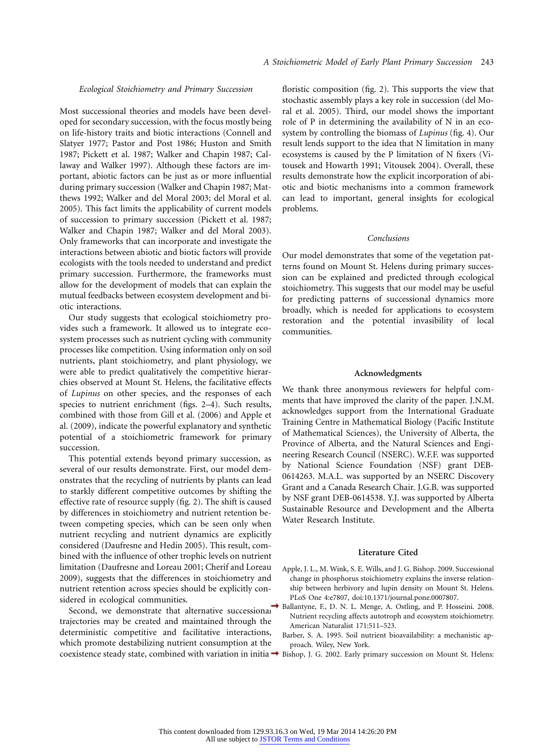### *Ecological Stoichiometry and Primary Succession*

Most successional theories and models have been developed for secondary succession, with the focus mostly being on life-history traits and biotic interactions (Connell and Slatyer 1977; Pastor and Post 1986; Huston and Smith 1987; Pickett et al. 1987; Walker and Chapin 1987; Callaway and Walker 1997). Although these factors are important, abiotic factors can be just as or more influential during primary succession (Walker and Chapin 1987; Matthews 1992; Walker and del Moral 2003; del Moral et al. 2005). This fact limits the applicability of current models of succession to primary succession (Pickett et al. 1987; Walker and Chapin 1987; Walker and del Moral 2003). Only frameworks that can incorporate and investigate the interactions between abiotic and biotic factors will provide ecologists with the tools needed to understand and predict primary succession. Furthermore, the frameworks must allow for the development of models that can explain the mutual feedbacks between ecosystem development and biotic interactions.

Our study suggests that ecological stoichiometry provides such a framework. It allowed us to integrate ecosystem processes such as nutrient cycling with community processes like competition. Using information only on soil nutrients, plant stoichiometry, and plant physiology, we were able to predict qualitatively the competitive hierarchies observed at Mount St. Helens, the facilitative effects of *Lupinus* on other species, and the responses of each species to nutrient enrichment (figs. 2–4). Such results, combined with those from Gill et al. (2006) and Apple et al. (2009), indicate the powerful explanatory and synthetic potential of a stoichiometric framework for primary succession.

This potential extends beyond primary succession, as several of our results demonstrate. First, our model demonstrates that the recycling of nutrients by plants can lead to starkly different competitive outcomes by shifting the effective rate of resource supply (fig. 2). The shift is caused by differences in stoichiometry and nutrient retention between competing species, which can be seen only when nutrient recycling and nutrient dynamics are explicitly considered (Daufresne and Hedin 2005). This result, combined with the influence of other trophic levels on nutrient limitation (Daufresne and Loreau 2001; Cherif and Loreau 2009), suggests that the differences in stoichiometry and nutrient retention across species should be explicitly considered in ecological communities.

Second, we demonstrate that alternative successional trajectories may be created and maintained through the deterministic competitive and facilitative interactions, which promote destabilizing nutrient consumption at the coexistence steady state, combined with variation in initia  $\rightarrow$  Bishop, J. G. 2002. Early primary succession on Mount St. Helens:

floristic composition (fig. 2). This supports the view that stochastic assembly plays a key role in succession (del Moral et al. 2005). Third, our model shows the important role of P in determining the availability of N in an ecosystem by controlling the biomass of *Lupinus* (fig. 4). Our result lends support to the idea that N limitation in many ecosystems is caused by the P limitation of N fixers (Vitousek and Howarth 1991; Vitousek 2004). Overall, these results demonstrate how the explicit incorporation of abiotic and biotic mechanisms into a common framework can lead to important, general insights for ecological problems.

#### *Conclusions*

Our model demonstrates that some of the vegetation patterns found on Mount St. Helens during primary succession can be explained and predicted through ecological stoichiometry. This suggests that our model may be useful for predicting patterns of successional dynamics more broadly, which is needed for applications to ecosystem restoration and the potential invasibility of local communities.

#### **Acknowledgments**

We thank three anonymous reviewers for helpful comments that have improved the clarity of the paper. J.N.M. acknowledges support from the International Graduate Training Centre in Mathematical Biology (Pacific Institute of Mathematical Sciences), the University of Alberta, the Province of Alberta, and the Natural Sciences and Engineering Research Council (NSERC). W.F.F. was supported by National Science Foundation (NSF) grant DEB-0614263. M.A.L. was supported by an NSERC Discovery Grant and a Canada Research Chair. J.G.B. was supported by NSF grant DEB-0614538. Y.J. was supported by Alberta Sustainable Resource and Development and the Alberta Water Research Institute.

#### **Literature Cited**

- Apple, J. L., M. Wink, S. E. Wills, and J. G. Bishop. 2009. Successional change in phosphorus stoichiometry explains the inverse relationship between herbivory and lupin density on Mount St. Helens. PLoS One 4:e7807, doi:10.1371/journal.pone.0007807.
- Ballantyne, F., D. N. L. Menge, A. Ostling, and P. Hosseini. 2008. Nutrient recycling affects autotroph and ecosystem stoichiometry. American Naturalist 171:511–523.
- Barber, S. A. 1995. Soil nutrient bioavailability: a mechanistic approach. Wiley, New York.
-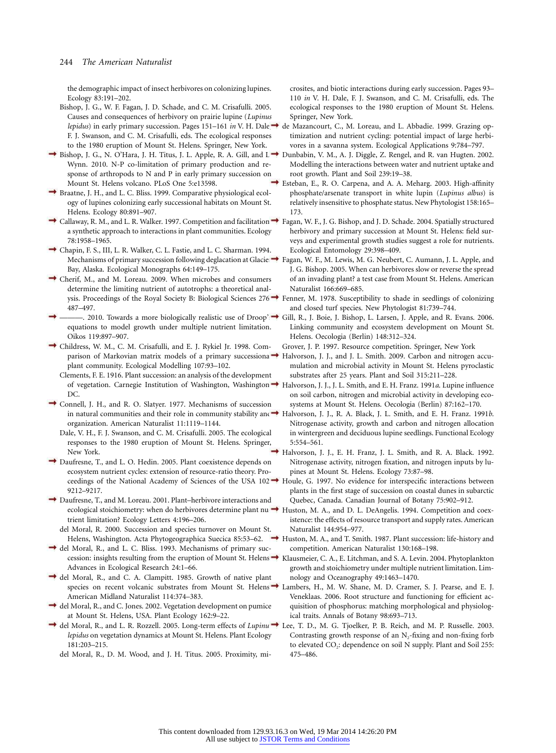the demographic impact of insect herbivores on colonizing lupines. Ecology 83:191–202.

Bishop, J. G., W. F. Fagan, J. D. Schade, and C. M. Crisafulli. 2005. Causes and consequences of herbivory on prairie lupine (*Lupinus* F. J. Swanson, and C. M. Crisafulli, eds. The ecological responses to the 1980 eruption of Mount St. Helens. Springer, New York.

- Bishop, J. G., N. O'Hara, J. H. Titus, J. L. Apple, R. A. Gill, and L  $\rightarrow$  Dunbabin, V. M., A. J. Diggle, Z. Rengel, and R. van Hugten. 2002. Wynn. 2010. N-P co-limitation of primary production and response of arthropods to N and P in early primary succession on Mount St. Helens volcano. PLoS One 5:e13598.
- Braatne, J. H., and L. C. Bliss. 1999. Comparative physiological ecology of lupines colonizing early successional habitats on Mount St. Helens. Ecology 80:891–907.
- Callaway, R. M., and L. R. Walker. 1997. Competition and facilitation: Fagan, W. F., J. G. Bishop, and J. D. Schade. 2004. Spatially structured a synthetic approach to interactions in plant communities. Ecology 78:1958–1965.
- Chapin, F. S., III, L. R. Walker, C. L. Fastie, and L. C. Sharman. 1994. Bay, Alaska. Ecological Monographs 64:149–175.
- Cherif, M., and M. Loreau. 2009. When microbes and consumers determine the limiting nutrient of autotrophs: a theoretical anal-487–497.
- ———. 2010. Towards a more biologically realistic use of Droop's Gill, R., J. Boie, J. Bishop, L. Larsen, J. Apple, and R. Evans. 2006. equations to model growth under multiple nutrient limitation. Oikos 119:897–907.
- Childress, W. M., C. M. Crisafulli, and E. J. Rykiel Jr. 1998. Complant community. Ecological Modelling 107:93–102.
	- Clements, F. E. 1916. Plant succession: an analysis of the development DC.
- Connell, J. H., and R. O. Slatyer. 1977. Mechanisms of succession organization. American Naturalist 11:1119–1144.
- Dale, V. H., F. J. Swanson, and C. M. Crisafulli. 2005. The ecological responses to the 1980 eruption of Mount St. Helens. Springer, New York.
- Daufresne, T., and L. O. Hedin. 2005. Plant coexistence depends on ecosystem nutrient cycles: extension of resource-ratio theory. Proceedings of the National Academy of Sciences of the USA  $102 \rightarrow$ 9212–9217.
- Daufresne, T., and M. Loreau. 2001. Plant–herbivore interactions and trient limitation? Ecology Letters 4:196–206.
- del Moral, R. 2000. Succession and species turnover on Mount St. Helens, Washington. Acta Phytogeographica Suecica 85:53–62.
- del Moral, R., and L. C. Bliss. 1993. Mechanisms of primary suc-Advances in Ecological Research 24:1–66.
- del Moral, R., and C. A. Clampitt. 1985. Growth of native plant species on recent volcanic substrates from Mount St. Helens  $\rightarrow$  Lambers, H., M. W. Shane, M. D. Cramer, S. J. Pearse, and E. J. American Midland Naturalist 114:374–383.
- del Moral, R., and C. Jones. 2002. Vegetation development on pumice at Mount St. Helens, USA. Plant Ecology 162:9–22.
- del Moral, R., and L. R. Rozzell. 2005. Long-term effects of *Lupinus* Lee, T. D., M. G. Tjoelker, P. B. Reich, and M. P. Russelle. 2003. *lepidus* on vegetation dynamics at Mount St. Helens. Plant Ecology 181:203–215.
	- del Moral, R., D. M. Wood, and J. H. Titus. 2005. Proximity, mi-

crosites, and biotic interactions during early succession. Pages 93– 110 *in* V. H. Dale, F. J. Swanson, and C. M. Crisafulli, eds. The ecological responses to the 1980 eruption of Mount St. Helens. Springer, New York.

- *lepidus*) in early primary succession. Pages 151–161 *in* V. H. Dale, de Mazancourt, C., M. Loreau, and L. Abbadie. 1999. Grazing optimization and nutrient cycling: potential impact of large herbivores in a savanna system. Ecological Applications 9:784–797.
	- Modelling the interactions between water and nutrient uptake and root growth. Plant and Soil 239:19–38.
	- Esteban, E., R. O. Carpena, and A. A. Meharg. 2003. High-affinity phosphate/arsenate transport in white lupin (*Lupinus albus*) is relatively insensitive to phosphate status. New Phytologist 158:165– 173.
	- herbivory and primary succession at Mount St. Helens: field surveys and experimental growth studies suggest a role for nutrients. Ecological Entomology 29:398–409.
- Mechanisms of primary succession following deglacation at Glacie  $\rightarrow$  Fagan, W. F., M. Lewis, M. G. Neubert, C. Aumann, J. L. Apple, and J. G. Bishop. 2005. When can herbivores slow or reverse the spread of an invading plant? a test case from Mount St. Helens. American Naturalist 166:669–685.
- ysis. Proceedings of the Royal Society B: Biological Sciences 276  $\rightarrow$  Fenner, M. 1978. Susceptibility to shade in seedlings of colonizing and closed turf species. New Phytologist 81:739–744.
	- Linking community and ecosystem development on Mount St. Helens. Oecologia (Berlin) 148:312–324.
	- Grover, J. P. 1997. Resource competition. Springer, New York
- parison of Markovian matrix models of a primary successiona  $\rightarrow$  Halvorson, J. J., and J. L. Smith. 2009. Carbon and nitrogen accumulation and microbial activity in Mount St. Helens pyroclastic substrates after 25 years. Plant and Soil 315:211–228.
- of vegetation. Carnegie Institution of Washington, Washington, Halvorson, J. J., J. L. Smith, and E. H. Franz. 1991*a*. Lupine influence on soil carbon, nitrogen and microbial activity in developing ecosystems at Mount St. Helens. Oecologia (Berlin) 87:162–170.
- in natural communities and their role in community stability and Halvorson, J. J., R. A. Black, J. L. Smith, and E. H. Franz. 1991*b*. Nitrogenase activity, growth and carbon and nitrogen allocation in wintergreen and deciduous lupine seedlings. Functional Ecology 5:554–561.
	- Halvorson, J. J., E. H. Franz, J. L. Smith, and R. A. Black. 1992. Nitrogenase activity, nitrogen fixation, and nitrogen inputs by lupines at Mount St. Helens. Ecology 73:87–98.
		- Houle, G. 1997. No evidence for interspecific interactions between plants in the first stage of succession on coastal dunes in subarctic Quebec, Canada. Canadian Journal of Botany 75:902–912.
- ecological stoichiometry: when do herbivores determine plant nu  $\rightarrow$  Huston, M. A., and D. L. DeAngelis. 1994. Competition and coexistence: the effects of resource transport and supply rates. American Naturalist 144:954–977.
	- Huston, M. A., and T. Smith. 1987. Plant succession: life-history and competition. American Naturalist 130:168–198.
- cession: insights resulting from the eruption of Mount St. Helens. Klausmeier, C. A., E. Litchman, and S. A. Levin. 2004. Phytoplankton growth and stoichiometry under multiple nutrient limitation. Limnology and Oceanography 49:1463–1470.
	- Veneklaas. 2006. Root structure and functioning for efficient acquisition of phosphorus: matching morphological and physiological traits. Annals of Botany 98:693–713.
	- Contrasting growth response of an  $N_2$ -fixing and non-fixing forb to elevated CO<sub>2</sub>: dependence on soil N supply. Plant and Soil 255: 475–486.